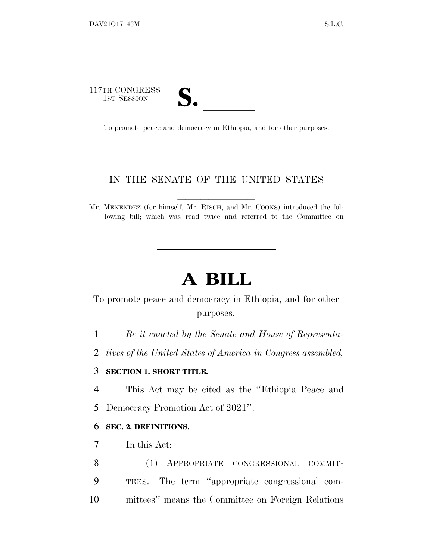117TH CONGRESS TH CONGRESS<br>
1ST SESSION<br>
To promote peace and democracy in Ethiopia, and for other purposes.

lland and a state of the state of the state of the state of the state of the state of the state of the state o

### IN THE SENATE OF THE UNITED STATES

Mr. MENENDEZ (for himself, Mr. RISCH, and Mr. COONS) introduced the following bill; which was read twice and referred to the Committee on

# **A BILL**

To promote peace and democracy in Ethiopia, and for other purposes.

1 *Be it enacted by the Senate and House of Representa-*

2 *tives of the United States of America in Congress assembled,*

#### 3 **SECTION 1. SHORT TITLE.**

4 This Act may be cited as the ''Ethiopia Peace and

5 Democracy Promotion Act of 2021''.

#### 6 **SEC. 2. DEFINITIONS.**

7 In this Act:

8 (1) APPROPRIATE CONGRESSIONAL COMMIT-9 TEES.—The term ''appropriate congressional com-10 mittees'' means the Committee on Foreign Relations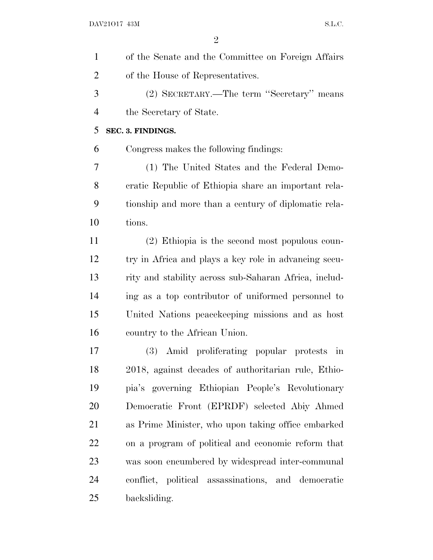| of the Senate and the Committee on Foreign Affairs    |
|-------------------------------------------------------|
| of the House of Representatives.                      |
| (2) SECRETARY.—The term "Secretary" means             |
| the Secretary of State.                               |
| SEC. 3. FINDINGS.                                     |
| Congress makes the following findings:                |
| (1) The United States and the Federal Demo-           |
| cratic Republic of Ethiopia share an important rela-  |
| tionship and more than a century of diplomatic rela-  |
| tions.                                                |
| (2) Ethiopia is the second most populous coun-        |
| try in Africa and plays a key role in advancing secu- |
| rity and stability across sub-Saharan Africa, includ- |
| ing as a top contributor of uniformed personnel to    |
| United Nations peace keeping missions and as host     |
| country to the African Union.                         |
| (3) Amid proliferating popular protests<br>in         |
| 2018, against decades of authoritarian rule, Ethio-   |
| pia's governing Ethiopian People's Revolutionary      |
| Democratic Front (EPRDF) selected Abiy Ahmed          |
| as Prime Minister, who upon taking office embarked    |
| on a program of political and economic reform that    |
| was soon encumbered by widespread inter-communal      |
| conflict, political assassinations, and democratic    |
| backsliding.                                          |
|                                                       |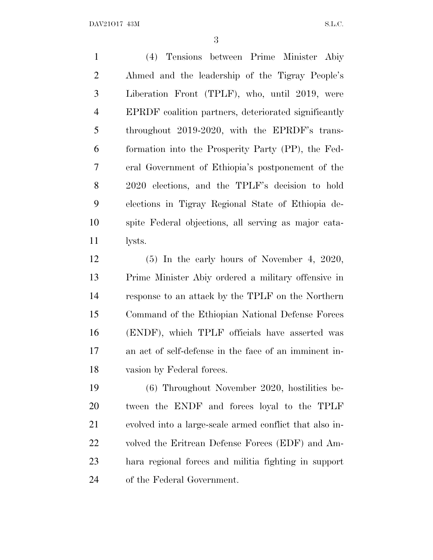(4) Tensions between Prime Minister Abiy Ahmed and the leadership of the Tigray People's Liberation Front (TPLF), who, until 2019, were EPRDF coalition partners, deteriorated significantly throughout 2019-2020, with the EPRDF's trans- formation into the Prosperity Party (PP), the Fed- eral Government of Ethiopia's postponement of the 2020 elections, and the TPLF's decision to hold elections in Tigray Regional State of Ethiopia de- spite Federal objections, all serving as major cata-lysts.

 (5) In the early hours of November 4, 2020, Prime Minister Abiy ordered a military offensive in response to an attack by the TPLF on the Northern Command of the Ethiopian National Defense Forces (ENDF), which TPLF officials have asserted was an act of self-defense in the face of an imminent in-vasion by Federal forces.

 (6) Throughout November 2020, hostilities be- tween the ENDF and forces loyal to the TPLF evolved into a large-scale armed conflict that also in- volved the Eritrean Defense Forces (EDF) and Am- hara regional forces and militia fighting in support of the Federal Government.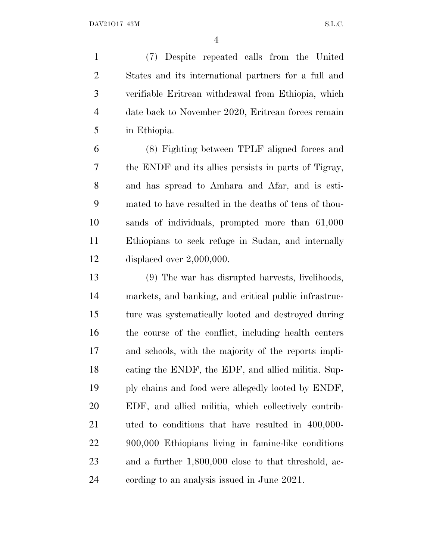(7) Despite repeated calls from the United States and its international partners for a full and verifiable Eritrean withdrawal from Ethiopia, which date back to November 2020, Eritrean forces remain in Ethiopia.

 (8) Fighting between TPLF aligned forces and the ENDF and its allies persists in parts of Tigray, and has spread to Amhara and Afar, and is esti- mated to have resulted in the deaths of tens of thou- sands of individuals, prompted more than 61,000 Ethiopians to seek refuge in Sudan, and internally displaced over 2,000,000.

 (9) The war has disrupted harvests, livelihoods, markets, and banking, and critical public infrastruc- ture was systematically looted and destroyed during the course of the conflict, including health centers and schools, with the majority of the reports impli- cating the ENDF, the EDF, and allied militia. Sup- ply chains and food were allegedly looted by ENDF, EDF, and allied militia, which collectively contrib- uted to conditions that have resulted in 400,000- 900,000 Ethiopians living in famine-like conditions and a further 1,800,000 close to that threshold, ac-cording to an analysis issued in June 2021.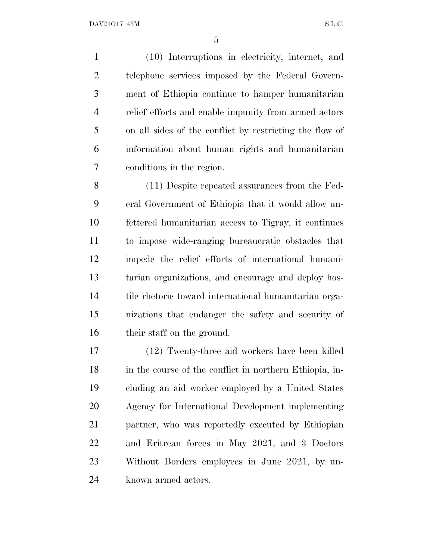(10) Interruptions in electricity, internet, and telephone services imposed by the Federal Govern- ment of Ethiopia continue to hamper humanitarian relief efforts and enable impunity from armed actors on all sides of the conflict by restricting the flow of information about human rights and humanitarian conditions in the region.

 (11) Despite repeated assurances from the Fed- eral Government of Ethiopia that it would allow un- fettered humanitarian access to Tigray, it continues to impose wide-ranging bureaucratic obstacles that impede the relief efforts of international humani- tarian organizations, and encourage and deploy hos- tile rhetoric toward international humanitarian orga- nizations that endanger the safety and security of their staff on the ground.

 (12) Twenty-three aid workers have been killed 18 in the course of the conflict in northern Ethiopia, in- cluding an aid worker employed by a United States Agency for International Development implementing partner, who was reportedly executed by Ethiopian and Eritrean forces in May 2021, and 3 Doctors Without Borders employees in June 2021, by un-known armed actors.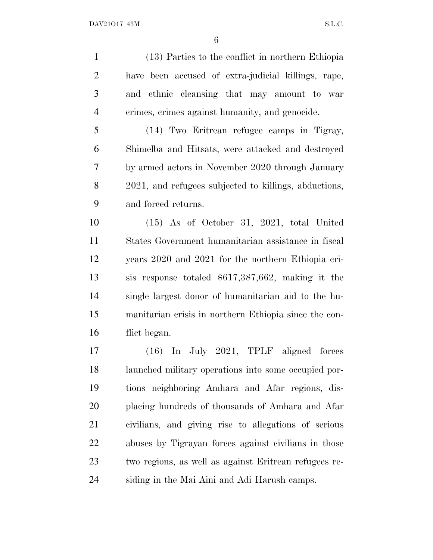(13) Parties to the conflict in northern Ethiopia have been accused of extra-judicial killings, rape, and ethnic cleansing that may amount to war crimes, crimes against humanity, and genocide.

 (14) Two Eritrean refugee camps in Tigray, Shimelba and Hitsats, were attacked and destroyed by armed actors in November 2020 through January 2021, and refugees subjected to killings, abductions, and forced returns.

 (15) As of October 31, 2021, total United States Government humanitarian assistance in fiscal years 2020 and 2021 for the northern Ethiopia cri- sis response totaled \$617,387,662, making it the single largest donor of humanitarian aid to the hu- manitarian crisis in northern Ethiopia since the con-flict began.

 (16) In July 2021, TPLF aligned forces launched military operations into some occupied por- tions neighboring Amhara and Afar regions, dis- placing hundreds of thousands of Amhara and Afar civilians, and giving rise to allegations of serious abuses by Tigrayan forces against civilians in those two regions, as well as against Eritrean refugees re-siding in the Mai Aini and Adi Harush camps.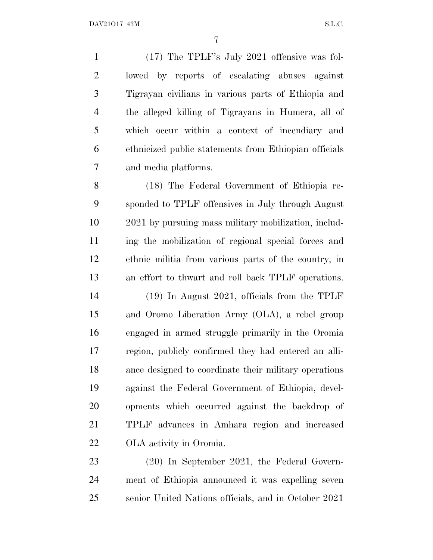(17) The TPLF's July 2021 offensive was fol- lowed by reports of escalating abuses against Tigrayan civilians in various parts of Ethiopia and the alleged killing of Tigrayans in Humera, all of which occur within a context of incendiary and ethnicized public statements from Ethiopian officials and media platforms.

 (18) The Federal Government of Ethiopia re- sponded to TPLF offensives in July through August 2021 by pursuing mass military mobilization, includ- ing the mobilization of regional special forces and ethnic militia from various parts of the country, in an effort to thwart and roll back TPLF operations.

 (19) In August 2021, officials from the TPLF and Oromo Liberation Army (OLA), a rebel group engaged in armed struggle primarily in the Oromia region, publicly confirmed they had entered an alli- ance designed to coordinate their military operations against the Federal Government of Ethiopia, devel- opments which occurred against the backdrop of TPLF advances in Amhara region and increased OLA activity in Oromia.

 (20) In September 2021, the Federal Govern- ment of Ethiopia announced it was expelling seven senior United Nations officials, and in October 2021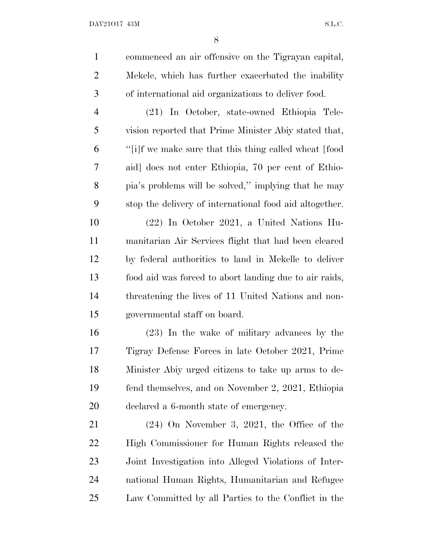| $\mathbf{1}$   | commenced an air offensive on the Tigrayan capital,     |
|----------------|---------------------------------------------------------|
| $\overline{2}$ | Mekele, which has further exacerbated the inability     |
| 3              | of international aid organizations to deliver food.     |
| $\overline{4}$ | (21) In October, state-owned Ethiopia Tele-             |
| 5              | vision reported that Prime Minister Abiy stated that,   |
| 6              | "[i]f we make sure that this thing called wheat [food   |
| 7              | aid] does not enter Ethiopia, 70 per cent of Ethio-     |
| 8              | pia's problems will be solved," implying that he may    |
| 9              | stop the delivery of international food aid altogether. |
| 10             | (22) In October 2021, a United Nations Hu-              |
| 11             | manitarian Air Services flight that had been cleared    |
| 12             | by federal authorities to land in Mekelle to deliver    |
| 13             | food aid was forced to abort landing due to air raids,  |
| 14             | threatening the lives of 11 United Nations and non-     |
| 15             | governmental staff on board.                            |
| 16             | (23) In the wake of military advances by the            |
| 17             | Tigray Defense Forces in late October 2021, Prime       |
| 18             | Minister Abiy urged citizens to take up arms to de-     |
| 19             | fend themselves, and on November 2, 2021, Ethiopia      |
| 20             | declared a 6-month state of emergency.                  |

 (24) On November 3, 2021, the Office of the High Commissioner for Human Rights released the Joint Investigation into Alleged Violations of Inter- national Human Rights, Humanitarian and Refugee Law Committed by all Parties to the Conflict in the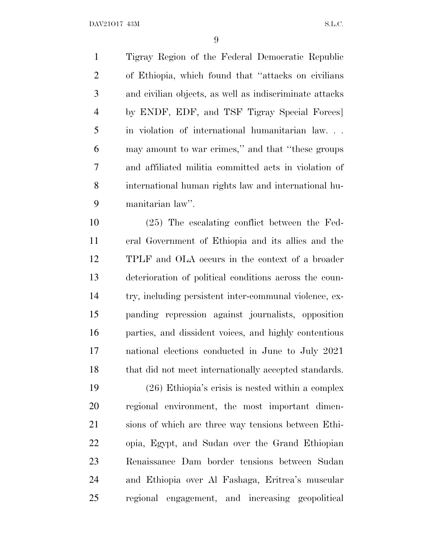Tigray Region of the Federal Democratic Republic of Ethiopia, which found that ''attacks on civilians and civilian objects, as well as indiscriminate attacks by ENDF, EDF, and TSF Tigray Special Forces] in violation of international humanitarian law. . . may amount to war crimes,'' and that ''these groups and affiliated militia committed acts in violation of international human rights law and international hu-manitarian law''.

 (25) The escalating conflict between the Fed- eral Government of Ethiopia and its allies and the TPLF and OLA occurs in the context of a broader deterioration of political conditions across the coun- try, including persistent inter-communal violence, ex- panding repression against journalists, opposition parties, and dissident voices, and highly contentious national elections conducted in June to July 2021 18 that did not meet internationally accepted standards.

 (26) Ethiopia's crisis is nested within a complex regional environment, the most important dimen- sions of which are three way tensions between Ethi- opia, Egypt, and Sudan over the Grand Ethiopian Renaissance Dam border tensions between Sudan and Ethiopia over Al Fashaga, Eritrea's muscular regional engagement, and increasing geopolitical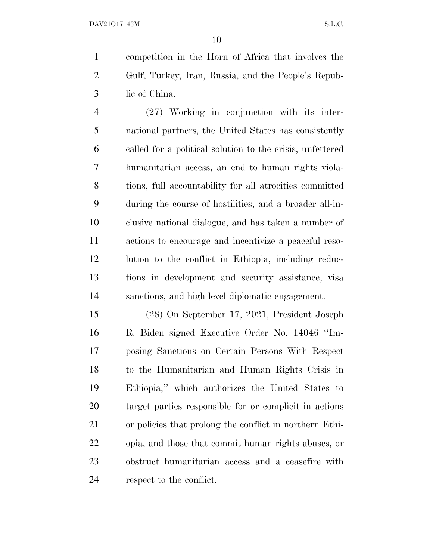competition in the Horn of Africa that involves the Gulf, Turkey, Iran, Russia, and the People's Repub-lic of China.

 (27) Working in conjunction with its inter- national partners, the United States has consistently called for a political solution to the crisis, unfettered humanitarian access, an end to human rights viola- tions, full accountability for all atrocities committed during the course of hostilities, and a broader all-in- clusive national dialogue, and has taken a number of actions to encourage and incentivize a peaceful reso- lution to the conflict in Ethiopia, including reduc- tions in development and security assistance, visa sanctions, and high level diplomatic engagement.

 (28) On September 17, 2021, President Joseph R. Biden signed Executive Order No. 14046 ''Im- posing Sanctions on Certain Persons With Respect to the Humanitarian and Human Rights Crisis in Ethiopia,'' which authorizes the United States to target parties responsible for or complicit in actions or policies that prolong the conflict in northern Ethi- opia, and those that commit human rights abuses, or obstruct humanitarian access and a ceasefire with respect to the conflict.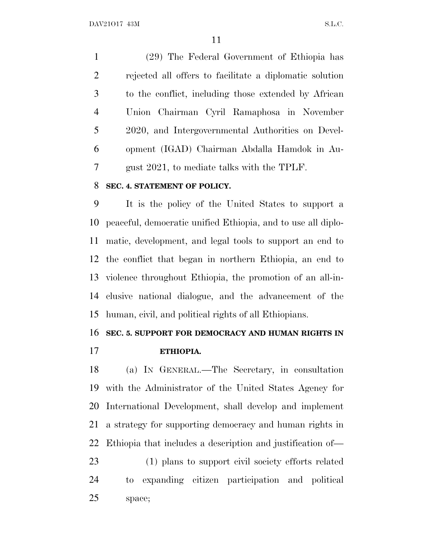(29) The Federal Government of Ethiopia has rejected all offers to facilitate a diplomatic solution to the conflict, including those extended by African Union Chairman Cyril Ramaphosa in November 2020, and Intergovernmental Authorities on Devel- opment (IGAD) Chairman Abdalla Hamdok in Au-gust 2021, to mediate talks with the TPLF.

#### **SEC. 4. STATEMENT OF POLICY.**

 It is the policy of the United States to support a peaceful, democratic unified Ethiopia, and to use all diplo- matic, development, and legal tools to support an end to the conflict that began in northern Ethiopia, an end to violence throughout Ethiopia, the promotion of an all-in- clusive national dialogue, and the advancement of the human, civil, and political rights of all Ethiopians.

#### **SEC. 5. SUPPORT FOR DEMOCRACY AND HUMAN RIGHTS IN**

**ETHIOPIA.**

 (a) I<sup>N</sup> GENERAL.—The Secretary, in consultation with the Administrator of the United States Agency for International Development, shall develop and implement a strategy for supporting democracy and human rights in Ethiopia that includes a description and justification of—

 (1) plans to support civil society efforts related to expanding citizen participation and political space;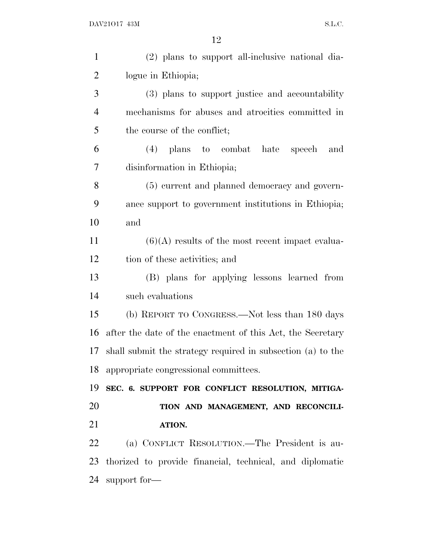| $\mathbf{1}$   | (2) plans to support all-inclusive national dia-            |
|----------------|-------------------------------------------------------------|
| $\overline{2}$ | logue in Ethiopia;                                          |
| 3              | (3) plans to support justice and accountability             |
| $\overline{4}$ | mechanisms for abuses and atrocities committed in           |
| 5              | the course of the conflict;                                 |
| 6              | (4) plans to combat hate speech<br>and                      |
| 7              | disinformation in Ethiopia;                                 |
| 8              | (5) current and planned democracy and govern-               |
| 9              | ance support to government institutions in Ethiopia;        |
| 10             | and                                                         |
| 11             | $(6)(A)$ results of the most recent impact evalua-          |
| 12             | tion of these activities; and                               |
| 13             | (B) plans for applying lessons learned from                 |
| 14             | such evaluations                                            |
| 15             | (b) REPORT TO CONGRESS.—Not less than 180 days              |
| 16             | after the date of the enactment of this Act, the Secretary  |
| 17             | shall submit the strategy required in subsection (a) to the |
|                | 18 appropriate congressional committees.                    |
| 19             | SEC. 6. SUPPORT FOR CONFLICT RESOLUTION, MITIGA-            |
| 20             | TION AND MANAGEMENT, AND RECONCILI-                         |
| 21             | ATION.                                                      |
| 22             | (a) CONFLICT RESOLUTION.—The President is au-               |
| 23             | thorized to provide financial, technical, and diplomatic    |
| 24             | support for-                                                |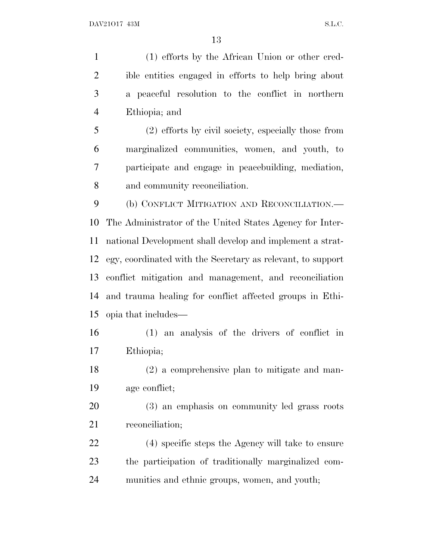(1) efforts by the African Union or other cred- ible entities engaged in efforts to help bring about a peaceful resolution to the conflict in northern Ethiopia; and (2) efforts by civil society, especially those from marginalized communities, women, and youth, to participate and engage in peacebuilding, mediation,

and community reconciliation.

 (b) CONFLICT MITIGATION AND RECONCILIATION.— The Administrator of the United States Agency for Inter- national Development shall develop and implement a strat- egy, coordinated with the Secretary as relevant, to support conflict mitigation and management, and reconciliation and trauma healing for conflict affected groups in Ethi-opia that includes—

 (1) an analysis of the drivers of conflict in Ethiopia;

 (2) a comprehensive plan to mitigate and man-age conflict;

 (3) an emphasis on community led grass roots reconciliation;

 (4) specific steps the Agency will take to ensure the participation of traditionally marginalized com-munities and ethnic groups, women, and youth;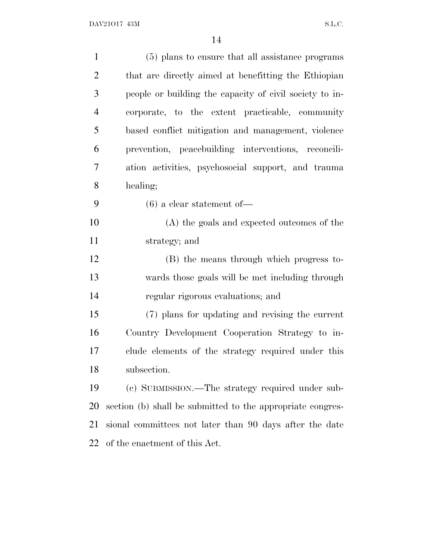| $\mathbf{1}$   | (5) plans to ensure that all assistance programs           |
|----------------|------------------------------------------------------------|
| $\overline{2}$ | that are directly aimed at benefitting the Ethiopian       |
| 3              | people or building the capacity of civil society to in-    |
| $\overline{4}$ | corporate, to the extent practicable, community            |
| 5              | based conflict mitigation and management, violence         |
| 6              | prevention, peacebuilding interventions, reconcili-        |
| 7              | ation activities, psychosocial support, and trauma         |
| 8              | healing;                                                   |
| 9              | $(6)$ a clear statement of —                               |
| 10             | (A) the goals and expected outcomes of the                 |
| 11             | strategy; and                                              |
| 12             | (B) the means through which progress to-                   |
| 13             | wards those goals will be met including through            |
| 14             | regular rigorous evaluations; and                          |
| 15             | (7) plans for updating and revising the current            |
| 16             | Country Development Cooperation Strategy to in-            |
| 17             | clude elements of the strategy required under this         |
| 18             | subsection.                                                |
| 19             | (c) SUBMISSION.—The strategy required under sub-           |
| <b>20</b>      | section (b) shall be submitted to the appropriate congres- |
| 21             | sional committees not later than 90 days after the date    |
| 22             | of the enactment of this Act.                              |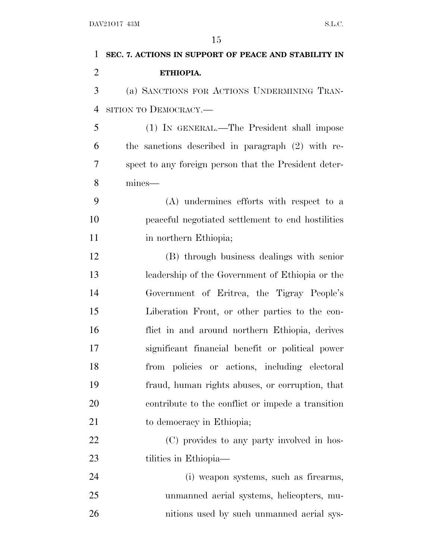| 1              | SEC. 7. ACTIONS IN SUPPORT OF PEACE AND STABILITY IN  |
|----------------|-------------------------------------------------------|
| $\overline{2}$ | ETHIOPIA.                                             |
| 3              | (a) SANCTIONS FOR ACTIONS UNDERMINING TRAN-           |
| $\overline{4}$ | SITION TO DEMOCRACY.—                                 |
| 5              | (1) IN GENERAL.—The President shall impose            |
| 6              | the sanctions described in paragraph (2) with re-     |
| $\overline{7}$ | spect to any foreign person that the President deter- |
| 8              | mines-                                                |
| 9              | (A) undermines efforts with respect to a              |
| 10             | peaceful negotiated settlement to end hostilities     |
| 11             | in northern Ethiopia;                                 |
| 12             | (B) through business dealings with senior             |
| 13             | leadership of the Government of Ethiopia or the       |
| 14             | Government of Eritrea, the Tigray People's            |
| 15             | Liberation Front, or other parties to the con-        |
| 16             | flict in and around northern Ethiopia, derives        |
| 17             | significant financial benefit or political power      |
| 18             | from policies or actions, including electoral         |
| 19             | fraud, human rights abuses, or corruption, that       |
| 20             | contribute to the conflict or impede a transition     |
| 21             | to democracy in Ethiopia;                             |
| 22             | (C) provides to any party involved in hos-            |
| 23             | tilities in Ethiopia—                                 |
| 24             | (i) weapon systems, such as firearms,                 |
| 25             | unmanned aerial systems, helicopters, mu-             |
| 26             | nitions used by such unmanned aerial sys-             |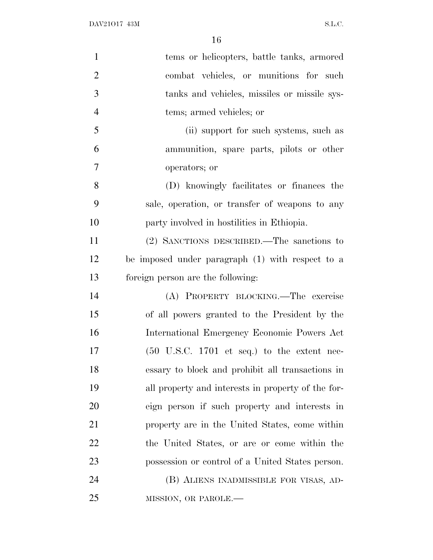| $\mathbf{1}$   | tems or helicopters, battle tanks, armored                     |
|----------------|----------------------------------------------------------------|
| $\overline{2}$ | combat vehicles, or munitions for such                         |
| 3              | tanks and vehicles, missiles or missile sys-                   |
| $\overline{4}$ | tems; armed vehicles; or                                       |
| 5              | (ii) support for such systems, such as                         |
| 6              | ammunition, spare parts, pilots or other                       |
| $\overline{7}$ | operators; or                                                  |
| 8              | (D) knowingly facilitates or finances the                      |
| 9              | sale, operation, or transfer of weapons to any                 |
| 10             | party involved in hostilities in Ethiopia.                     |
| 11             | (2) SANCTIONS DESCRIBED.—The sanctions to                      |
| 12             | be imposed under paragraph (1) with respect to a               |
| 13             | foreign person are the following:                              |
| 14             | (A) PROPERTY BLOCKING.—The exercise                            |
| 15             | of all powers granted to the President by the                  |
| 16             | International Emergency Economic Powers Act                    |
| 17             | $(50 \text{ U.S.C. } 1701 \text{ et seq.})$ to the extent nec- |
| 18             | essary to block and prohibit all transactions in               |
| 19             | all property and interests in property of the for-             |
| 20             | eign person if such property and interests in                  |
| 21             | property are in the United States, come within                 |
| 22             | the United States, or are or come within the                   |
| 23             | possession or control of a United States person.               |
| 24             | (B) ALIENS INADMISSIBLE FOR VISAS, AD-                         |
| 25             | MISSION, OR PAROLE.-                                           |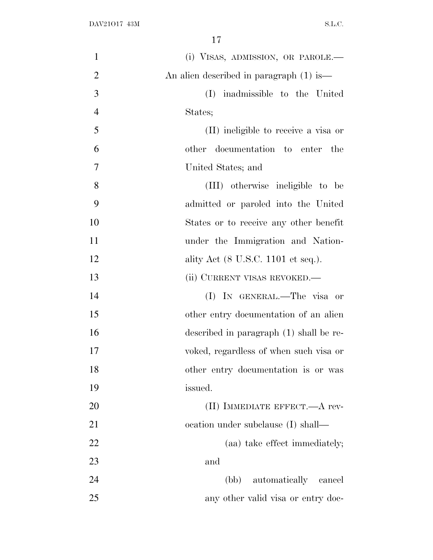| $\mathbf{1}$   | (i) VISAS, ADMISSION, OR PAROLE.—       |
|----------------|-----------------------------------------|
| $\overline{2}$ | An alien described in paragraph (1) is— |
| 3              | (I)<br>inadmissible to the United       |
| $\overline{4}$ | States;                                 |
| 5              | (II) ineligible to receive a visa or    |
| 6              | other documentation to enter the        |
| 7              | United States; and                      |
| 8              | (III) otherwise ineligible to be        |
| 9              | admitted or paroled into the United     |
| 10             | States or to receive any other benefit  |
| 11             | under the Immigration and Nation-       |
| 12             | ality Act (8 U.S.C. 1101 et seq.).      |
| 13             | (ii) CURRENT VISAS REVOKED.—            |
| 14             | (I) IN GENERAL.—The visa or             |
| 15             | other entry documentation of an alien   |
| 16             | described in paragraph (1) shall be re- |
| 17             | voked, regardless of when such visa or  |
| 18             | other entry documentation is or was     |
| 19             | issued.                                 |
| 20             | (II) IMMEDIATE EFFECT.—A rev-           |
| 21             | ocation under subclause (I) shall—      |
| 22             | (aa) take effect immediately;           |
| 23             | and                                     |
| 24             | (bb) automatically cancel               |
| 25             | any other valid visa or entry doc-      |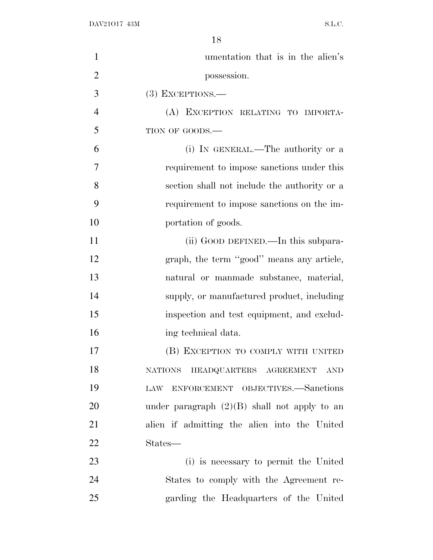| $\mathbf{1}$   | umentation that is in the alien's              |
|----------------|------------------------------------------------|
| $\overline{2}$ | possession.                                    |
| 3              | $(3)$ EXCEPTIONS.—                             |
| $\overline{4}$ | (A) EXCEPTION RELATING TO IMPORTA-             |
| 5              | TION OF GOODS.-                                |
| 6              | (i) IN GENERAL.—The authority or a             |
| $\overline{7}$ | requirement to impose sanctions under this     |
| 8              | section shall not include the authority or a   |
| 9              | requirement to impose sanctions on the im-     |
| 10             | portation of goods.                            |
| 11             | (ii) GOOD DEFINED.—In this subpara-            |
| 12             | graph, the term "good" means any article,      |
| 13             | natural or manmade substance, material,        |
| 14             | supply, or manufactured product, including     |
| 15             | inspection and test equipment, and exclud-     |
| 16             | ing technical data.                            |
| 17             | (B) EXCEPTION TO COMPLY WITH UNITED            |
| 18             | NATIONS HEADQUARTERS AGREEMENT AND             |
| 19             | ENFORCEMENT OBJECTIVES.-Sanctions<br>LAW       |
| 20             | under paragraph $(2)(B)$ shall not apply to an |
| 21             | alien if admitting the alien into the United   |
| <u>22</u>      | States—                                        |
| 23             | (i) is necessary to permit the United          |
| 24             | States to comply with the Agreement re-        |
| 25             | garding the Headquarters of the United         |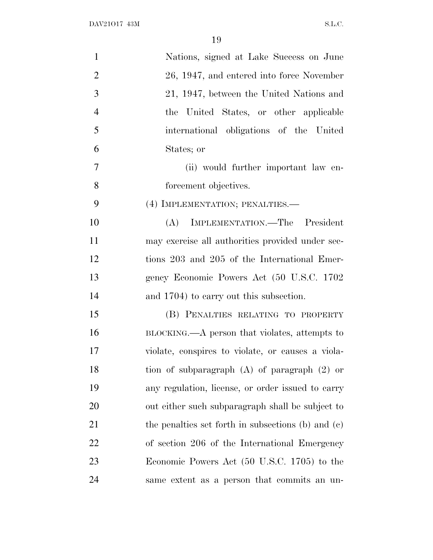| $\mathbf{1}$   | Nations, signed at Lake Success on June            |
|----------------|----------------------------------------------------|
| $\overline{2}$ | 26, 1947, and entered into force November          |
| 3              | 21, 1947, between the United Nations and           |
| $\overline{4}$ | the United States, or other applicable             |
| 5              | international obligations of the United            |
| 6              | States; or                                         |
| $\tau$         | (ii) would further important law en-               |
| 8              | forcement objectives.                              |
| 9              | (4) IMPLEMENTATION; PENALTIES.—                    |
| 10             | (A) IMPLEMENTATION.—The President                  |
| 11             | may exercise all authorities provided under sec-   |
| 12             | tions 203 and 205 of the International Emer-       |
| 13             | gency Economic Powers Act (50 U.S.C. 1702          |
| 14             | and 1704) to carry out this subsection.            |
| 15             | (B) PENALTIES RELATING TO PROPERTY                 |
| 16             | BLOCKING.—A person that violates, attempts to      |
| 17             | violate, conspires to violate, or causes a viola-  |
| 18             | tion of subparagraph $(A)$ of paragraph $(2)$ or   |
| 19             | any regulation, license, or order issued to carry  |
| <b>20</b>      | out either such subparagraph shall be subject to   |
| 21             | the penalties set forth in subsections (b) and (c) |
| 22             | of section 206 of the International Emergency      |
| 23             | Economic Powers Act (50 U.S.C. 1705) to the        |
| 24             | same extent as a person that commits an un-        |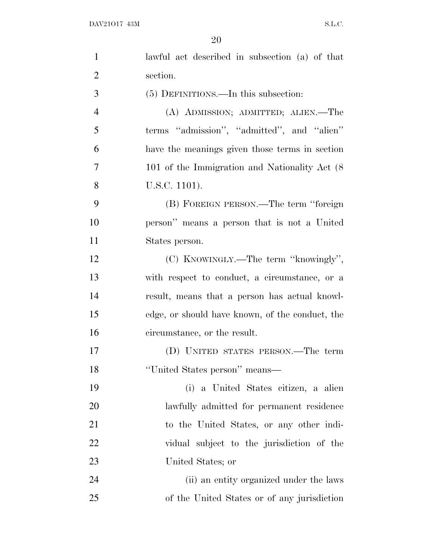| $\mathbf{1}$   | lawful act described in subsection (a) of that  |
|----------------|-------------------------------------------------|
| $\overline{2}$ | section.                                        |
| 3              | $(5)$ DEFINITIONS.—In this subsection:          |
| $\overline{4}$ | (A) ADMISSION; ADMITTED; ALIEN.—The             |
| 5              | terms "admission", "admitted", and "alien"      |
| 6              | have the meanings given those terms in section  |
| 7              | 101 of the Immigration and Nationality Act (8)  |
| 8              | U.S.C. 1101).                                   |
| 9              | (B) FOREIGN PERSON.—The term "foreign           |
| 10             | person" means a person that is not a United     |
| 11             | States person.                                  |
| 12             | (C) KNOWINGLY.—The term "knowingly",            |
| 13             | with respect to conduct, a circumstance, or a   |
| 14             | result, means that a person has actual knowl-   |
| 15             | edge, or should have known, of the conduct, the |
| 16             | circumstance, or the result.                    |
| 17             | (D) UNITED STATES PERSON.—The term              |
| 18             | "United States person" means-                   |
| 19             | (i) a United States citizen, a alien            |
| 20             | lawfully admitted for permanent residence       |
| 21             | to the United States, or any other indi-        |
| 22             | vidual subject to the jurisdiction of the       |
| 23             | United States; or                               |
| 24             | (ii) an entity organized under the laws         |
| 25             | of the United States or of any jurisdiction     |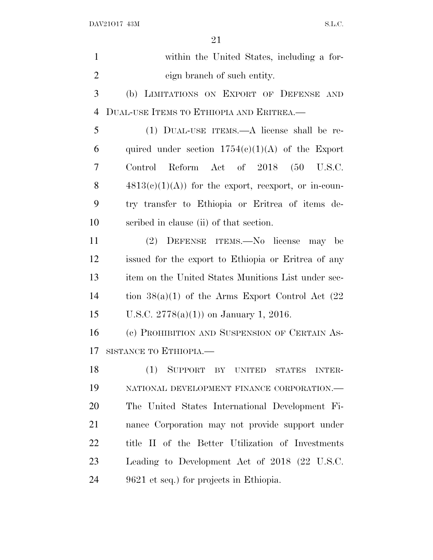| $\mathbf{1}$   | within the United States, including a for-            |
|----------------|-------------------------------------------------------|
| $\overline{2}$ | eign branch of such entity.                           |
| 3              | (b) LIMITATIONS ON EXPORT OF DEFENSE AND              |
| $\overline{4}$ | DUAL-USE ITEMS TO ETHIOPIA AND ERITREA.               |
| 5              | (1) DUAL-USE ITEMS.—A license shall be re-            |
| 6              | quired under section $1754(c)(1)(A)$ of the Export    |
| 7              | Control Reform Act of 2018 (50 U.S.C.                 |
| 8              | $4813(c)(1)(A)$ for the export, reexport, or in-coun- |
| 9              | try transfer to Ethiopia or Eritrea of items de-      |
| 10             | scribed in clause (ii) of that section.               |
| 11             | (2) DEFENSE ITEMS.—No license may be                  |
| 12             | issued for the export to Ethiopia or Eritrea of any   |
| 13             | item on the United States Munitions List under sec-   |
| 14             | tion $38(a)(1)$ of the Arms Export Control Act $(22)$ |
| 15             | U.S.C. $2778(a)(1)$ on January 1, 2016.               |
| 16             | (c) PROHIBITION AND SUSPENSION OF CERTAIN AS-         |
| 17             | SISTANCE TO ETHIOPIA.                                 |
| 18             | SUPPORT BY UNITED STATES<br>(1)<br><b>INTER-</b>      |
| 19             | NATIONAL DEVELOPMENT FINANCE CORPORATION.-            |
| 20             | The United States International Development Fi-       |
| 21             | nance Corporation may not provide support under       |
| 22             | title II of the Better Utilization of Investments     |
| 23             | Leading to Development Act of 2018 (22 U.S.C.         |
| 24             | 9621 et seq.) for projects in Ethiopia.               |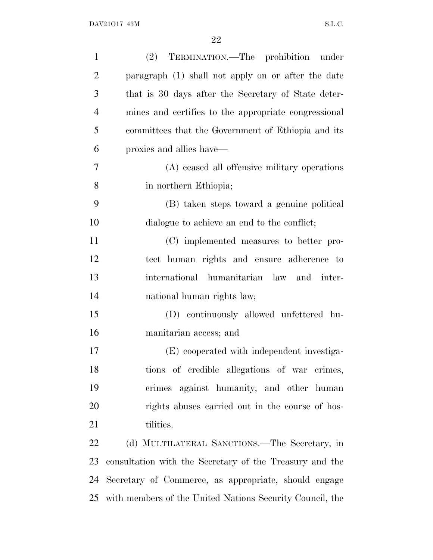| $\mathbf{1}$   | (2) TERMINATION.—The prohibition under                   |
|----------------|----------------------------------------------------------|
| $\overline{2}$ | paragraph (1) shall not apply on or after the date       |
| 3              | that is 30 days after the Secretary of State deter-      |
| $\overline{4}$ | mines and certifies to the appropriate congressional     |
| 5              | committees that the Government of Ethiopia and its       |
| 6              | proxies and allies have—                                 |
| 7              | (A) ceased all offensive military operations             |
| 8              | in northern Ethiopia;                                    |
| 9              | (B) taken steps toward a genuine political               |
| 10             | dialogue to achieve an end to the conflict;              |
| 11             | (C) implemented measures to better pro-                  |
| 12             | tect human rights and ensure adherence to                |
| 13             | international humanitarian law and inter-                |
| 14             | national human rights law;                               |
| 15             | (D) continuously allowed unfettered hu-                  |
| 16             | manitarian access; and                                   |
| 17             | (E) cooperated with independent investiga-               |
| 18             | tions of credible allegations of war crimes,             |
| 19             | crimes against humanity, and other human                 |
| 20             | rights abuses carried out in the course of hos-          |
| 21             | tilities.                                                |
| 22             | (d) MULTILATERAL SANCTIONS.—The Secretary, in            |
| 23             | consultation with the Secretary of the Treasury and the  |
| 24             | Secretary of Commerce, as appropriate, should engage     |
| 25             | with members of the United Nations Security Council, the |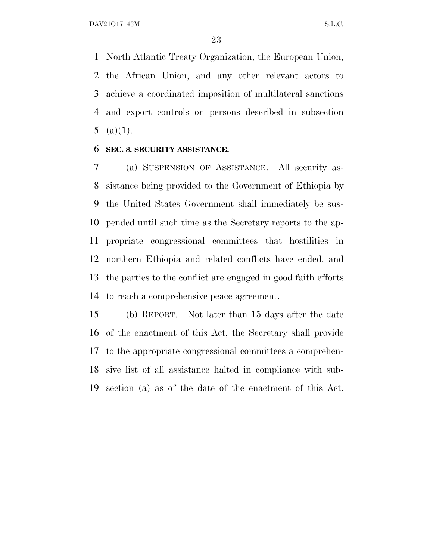North Atlantic Treaty Organization, the European Union, the African Union, and any other relevant actors to achieve a coordinated imposition of multilateral sanctions and export controls on persons described in subsection 5 (a) $(1)$ .

#### **SEC. 8. SECURITY ASSISTANCE.**

 (a) SUSPENSION OF ASSISTANCE.—All security as- sistance being provided to the Government of Ethiopia by the United States Government shall immediately be sus- pended until such time as the Secretary reports to the ap- propriate congressional committees that hostilities in northern Ethiopia and related conflicts have ended, and the parties to the conflict are engaged in good faith efforts to reach a comprehensive peace agreement.

 (b) REPORT.—Not later than 15 days after the date of the enactment of this Act, the Secretary shall provide to the appropriate congressional committees a comprehen- sive list of all assistance halted in compliance with sub-section (a) as of the date of the enactment of this Act.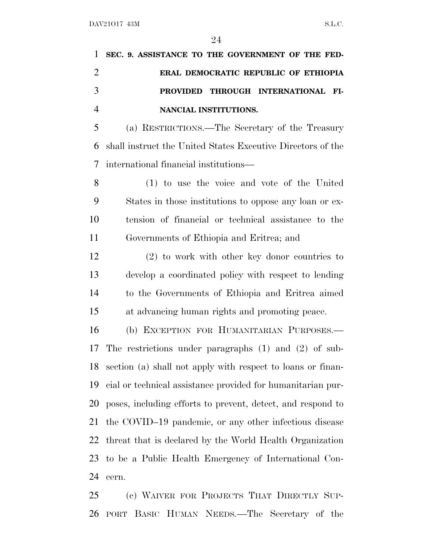## **SEC. 9. ASSISTANCE TO THE GOVERNMENT OF THE FED- ERAL DEMOCRATIC REPUBLIC OF ETHIOPIA PROVIDED THROUGH INTERNATIONAL FI-NANCIAL INSTITUTIONS.**

 (a) RESTRICTIONS.—The Secretary of the Treasury shall instruct the United States Executive Directors of the international financial institutions—

 (1) to use the voice and vote of the United States in those institutions to oppose any loan or ex- tension of financial or technical assistance to the Governments of Ethiopia and Eritrea; and

 (2) to work with other key donor countries to develop a coordinated policy with respect to lending to the Governments of Ethiopia and Eritrea aimed at advancing human rights and promoting peace.

 (b) EXCEPTION FOR HUMANITARIAN PURPOSES.— The restrictions under paragraphs (1) and (2) of sub- section (a) shall not apply with respect to loans or finan- cial or technical assistance provided for humanitarian pur- poses, including efforts to prevent, detect, and respond to the COVID–19 pandemic, or any other infectious disease threat that is declared by the World Health Organization to be a Public Health Emergency of International Con-cern.

 (c) WAIVER FOR PROJECTS THAT DIRECTLY SUP-PORT BASIC HUMAN NEEDS.—The Secretary of the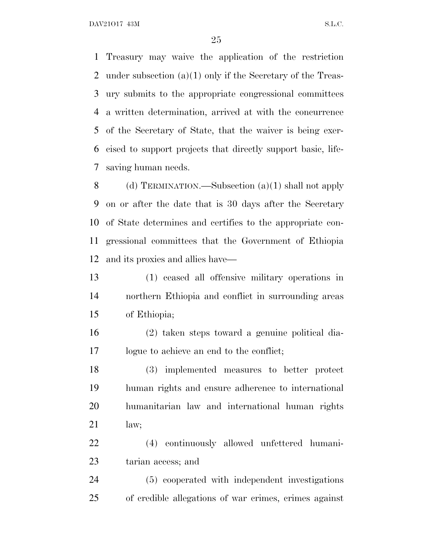Treasury may waive the application of the restriction under subsection (a)(1) only if the Secretary of the Treas- ury submits to the appropriate congressional committees a written determination, arrived at with the concurrence of the Secretary of State, that the waiver is being exer- cised to support projects that directly support basic, life-saving human needs.

 (d) TERMINATION.—Subsection (a)(1) shall not apply on or after the date that is 30 days after the Secretary of State determines and certifies to the appropriate con- gressional committees that the Government of Ethiopia and its proxies and allies have—

 (1) ceased all offensive military operations in northern Ethiopia and conflict in surrounding areas of Ethiopia;

 (2) taken steps toward a genuine political dia-logue to achieve an end to the conflict;

 (3) implemented measures to better protect human rights and ensure adherence to international humanitarian law and international human rights law;

 (4) continuously allowed unfettered humani-tarian access; and

 (5) cooperated with independent investigations of credible allegations of war crimes, crimes against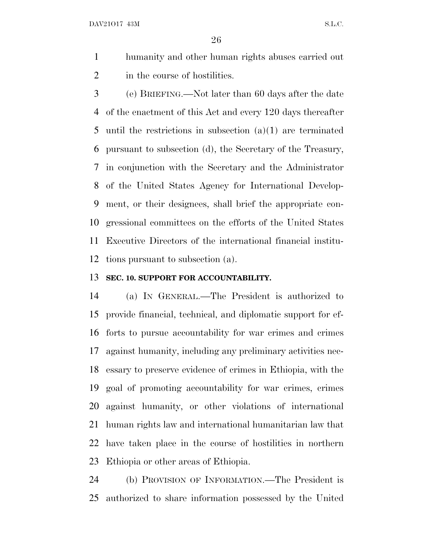- humanity and other human rights abuses carried out 2 in the course of hostilities.
- (e) BRIEFING.—Not later than 60 days after the date of the enactment of this Act and every 120 days thereafter until the restrictions in subsection (a)(1) are terminated pursuant to subsection (d), the Secretary of the Treasury, in conjunction with the Secretary and the Administrator of the United States Agency for International Develop- ment, or their designees, shall brief the appropriate con- gressional committees on the efforts of the United States Executive Directors of the international financial institu-tions pursuant to subsection (a).

#### **SEC. 10. SUPPORT FOR ACCOUNTABILITY.**

 (a) I<sup>N</sup> GENERAL.—The President is authorized to provide financial, technical, and diplomatic support for ef- forts to pursue accountability for war crimes and crimes against humanity, including any preliminary activities nec- essary to preserve evidence of crimes in Ethiopia, with the goal of promoting accountability for war crimes, crimes against humanity, or other violations of international human rights law and international humanitarian law that have taken place in the course of hostilities in northern Ethiopia or other areas of Ethiopia.

 (b) PROVISION OF INFORMATION.—The President is authorized to share information possessed by the United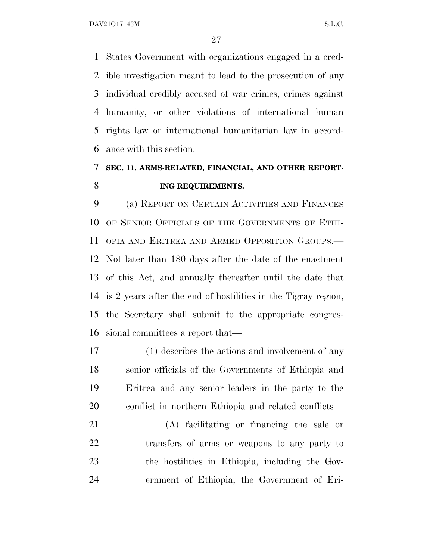States Government with organizations engaged in a cred- ible investigation meant to lead to the prosecution of any individual credibly accused of war crimes, crimes against humanity, or other violations of international human rights law or international humanitarian law in accord-ance with this section.

### **SEC. 11. ARMS-RELATED, FINANCIAL, AND OTHER REPORT-ING REQUIREMENTS.**

 (a) REPORT ON CERTAIN ACTIVITIES AND FINANCES OF SENIOR OFFICIALS OF THE GOVERNMENTS OF ETHI- OPIA AND ERITREA AND ARMED OPPOSITION GROUPS.— Not later than 180 days after the date of the enactment of this Act, and annually thereafter until the date that is 2 years after the end of hostilities in the Tigray region, the Secretary shall submit to the appropriate congres-sional committees a report that—

 (1) describes the actions and involvement of any senior officials of the Governments of Ethiopia and Eritrea and any senior leaders in the party to the conflict in northern Ethiopia and related conflicts—

 (A) facilitating or financing the sale or transfers of arms or weapons to any party to the hostilities in Ethiopia, including the Gov-ernment of Ethiopia, the Government of Eri-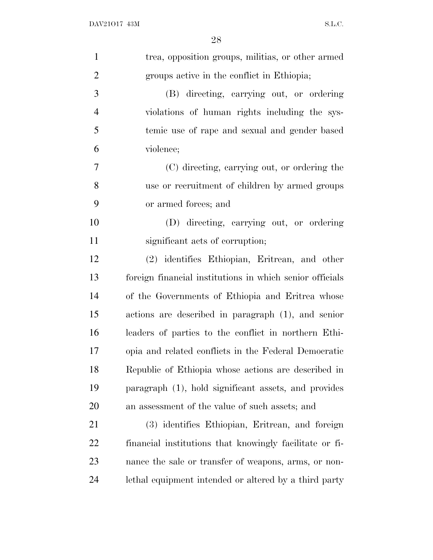| trea, opposition groups, militias, or other armed        |
|----------------------------------------------------------|
| groups active in the conflict in Ethiopia;               |
| (B) directing, carrying out, or ordering                 |
| violations of human rights including the sys-            |
| temic use of rape and sexual and gender based            |
| violence;                                                |
| (C) directing, carrying out, or ordering the             |
| use or recruitment of children by armed groups           |
| or armed forces; and                                     |
| (D) directing, carrying out, or ordering                 |
| significant acts of corruption;                          |
| (2) identifies Ethiopian, Eritrean, and other            |
| foreign financial institutions in which senior officials |
| of the Governments of Ethiopia and Eritrea whose         |
| actions are described in paragraph (1), and senior       |
| leaders of parties to the conflict in northern Ethi-     |
| opia and related conflicts in the Federal Democratic     |
| Republic of Ethiopia whose actions are described in      |
| paragraph (1), hold significant assets, and provides     |
| an assessment of the value of such assets; and           |
| (3) identifies Ethiopian, Eritrean, and foreign          |
| financial institutions that knowingly facilitate or fi-  |
| nance the sale or transfer of weapons, arms, or non-     |
| lethal equipment intended or altered by a third party    |
|                                                          |